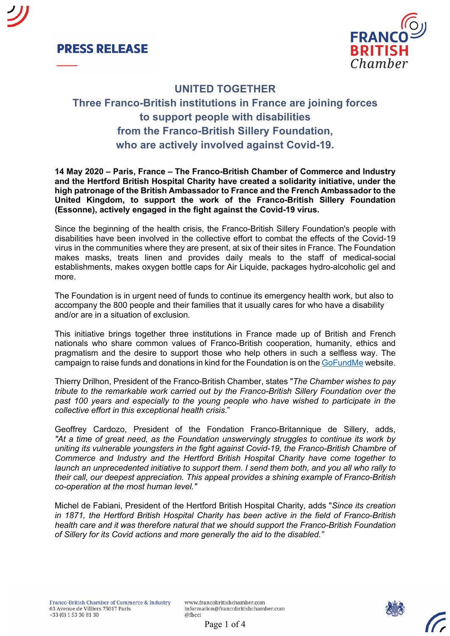



## **UNITED TOGETHER**

# **Three Franco-British institutions in France are joining forces to support people with disabilities from the Franco-British Sillery Foundation, who are actively involved against Covid-19.**

**14 May 2020 – Paris, France – The Franco-British Chamber of Commerce and Industry and the Hertford British Hospital Charity have created a solidarity initiative, under the high patronage of the British Ambassador to France and the French Ambassador to the United Kingdom, to support the work of the Franco-British Sillery Foundation (Essonne), actively engaged in the fight against the Covid-19 virus.**

Since the beginning of the health crisis, the Franco-British Sillery Foundation's people with disabilities have been involved in the collective effort to combat the effects of the Covid-19 virus in the communities where they are present, at six of their sites in France. The Foundation makes masks, treats linen and provides daily meals to the staff of medical-social establishments, makes oxygen bottle caps for Air Liquide, packages hydro-alcoholic gel and more.

The Foundation is in urgent need of funds to continue its emergency health work, but also to accompany the 800 people and their families that it usually cares for who have a disability and/or are in a situation of exclusion.

This initiative brings together three institutions in France made up of British and French nationals who share common values of Franco-British cooperation, humanity, ethics and pragmatism and the desire to support those who help others in such a selfless way. The campaign to raise funds and donations in kind for the Foundation is on the GoFundMe website.

Thierry Drilhon, President of the Franco-British Chamber, states "*The Chamber wishes to pay tribute to the remarkable work carried out by the Franco-British Sillery Foundation over the past 100 years and especially to the young people who have wished to participate in the collective effort in this exceptional health crisis*."

Geoffrey Cardozo, President of the Fondation Franco-Britannique de Sillery, adds, *"At a time of great need, as the Foundation unswervingly struggles to continue its work by uniting its vulnerable youngsters in the fight against Covid-19, the Franco-British Chambre of Commerce and Industry and the Hertford British Hospital Charity have come together to launch an unprecedented initiative to support them. I send them both, and you all who rally to their call, our deepest appreciation. This appeal provides a shining example of Franco-British co-operation at the most human level."*

Michel de Fabiani, President of the Hertford British Hospital Charity, adds "*Since its creation in 1871, the Hertford British Hospital Charity has been active in the field of Franco-British health care and it was therefore natural that we should support the Franco-British Foundation of Sillery for its Covid actions and more generally the aid to the disabled."*

Page 1 of 4

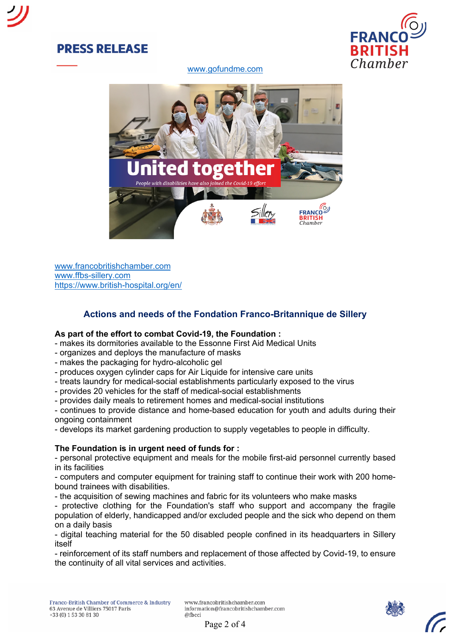

www.gofundme.com



www.francobritishchamber.com www.ffbs-sillery.com https://www.british-hospital.org/en/

## **Actions and needs of the Fondation Franco-Britannique de Sillery**

### **As part of the effort to combat Covid-19, the Foundation :**

- makes its dormitories available to the Essonne First Aid Medical Units
- organizes and deploys the manufacture of masks
- makes the packaging for hydro-alcoholic gel
- produces oxygen cylinder caps for Air Liquide for intensive care units
- treats laundry for medical-social establishments particularly exposed to the virus
- provides 20 vehicles for the staff of medical-social establishments
- provides daily meals to retirement homes and medical-social institutions

- continues to provide distance and home-based education for youth and adults during their ongoing containment

- develops its market gardening production to supply vegetables to people in difficulty.

### **The Foundation is in urgent need of funds for :**

- personal protective equipment and meals for the mobile first-aid personnel currently based in its facilities

- computers and computer equipment for training staff to continue their work with 200 homebound trainees with disabilities.

- the acquisition of sewing machines and fabric for its volunteers who make masks

- protective clothing for the Foundation's staff who support and accompany the fragile population of elderly, handicapped and/or excluded people and the sick who depend on them on a daily basis

- digital teaching material for the 50 disabled people confined in its headquarters in Sillery itself

- reinforcement of its staff numbers and replacement of those affected by Covid-19, to ensure the continuity of all vital services and activities.